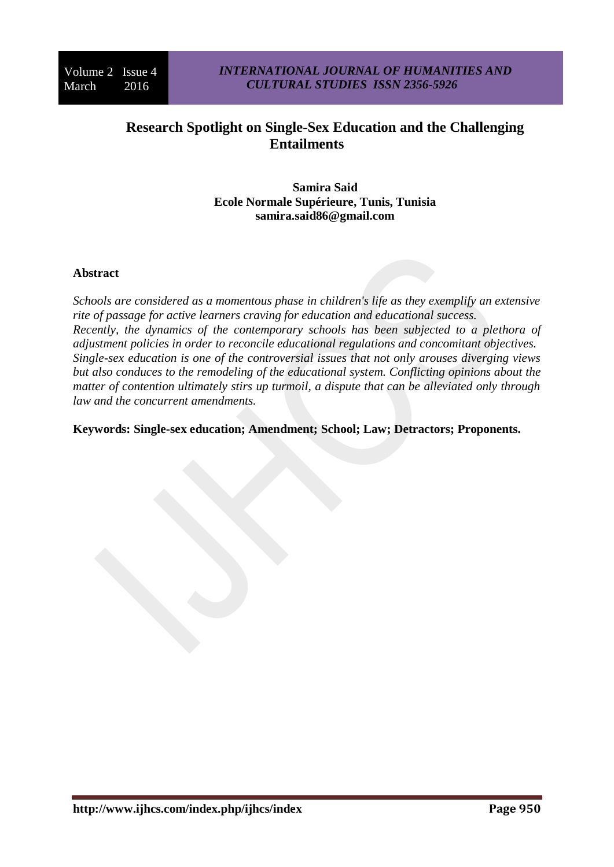# **Research Spotlight on Single-Sex Education and the Challenging Entailments**

**Samira Said Ecole Normale Supérieure, Tunis, Tunisia samira.said86@gmail.com**

## **Abstract**

*Schools are considered as a momentous phase in children's life as they exemplify an extensive rite of passage for active learners craving for education and educational success. Recently, the dynamics of the contemporary schools has been subjected to a plethora of adjustment policies in order to reconcile educational regulations and concomitant objectives. Single-sex education is one of the controversial issues that not only arouses diverging views but also conduces to the remodeling of the educational system. Conflicting opinions about the matter of contention ultimately stirs up turmoil, a dispute that can be alleviated only through law and the concurrent amendments.*

**Keywords: Single-sex education; Amendment; School; Law; Detractors; Proponents.**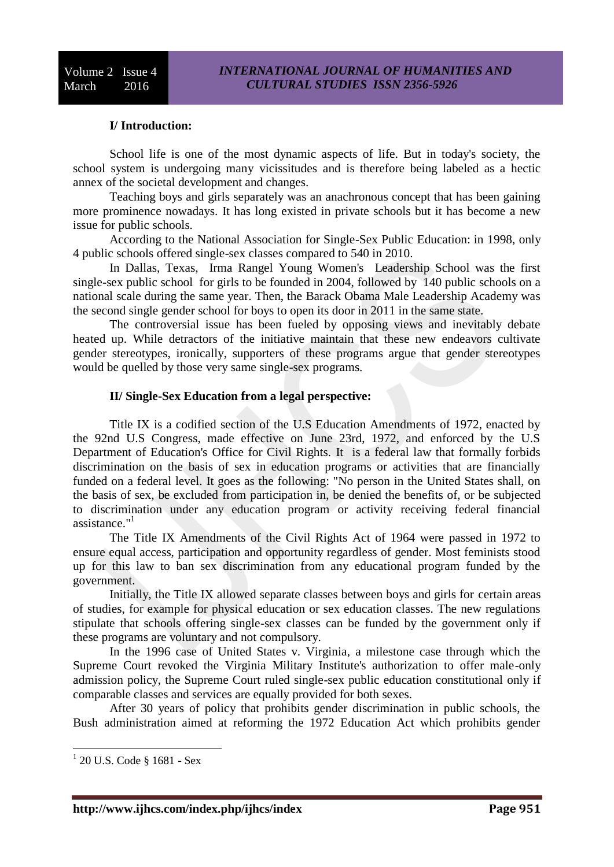# **I/ Introduction:**

School life is one of the most dynamic aspects of life. But in today's society, the school system is undergoing many vicissitudes and is therefore being labeled as a hectic annex of the societal development and changes.

Teaching boys and girls separately was an anachronous concept that has been gaining more prominence nowadays. It has long existed in private schools but it has become a new issue for public schools.

According to the National Association for Single-Sex Public Education: in 1998, only 4 public schools offered single-sex classes compared to 540 in 2010.

In Dallas, Texas, Irma Rangel Young Women's Leadership School was the first single-sex public school for girls to be founded in 2004, followed by 140 public schools on a national scale during the same year. Then, the Barack Obama Male Leadership Academy was the second single gender school for boys to open its door in 2011 in the same state.

The controversial issue has been fueled by opposing views and inevitably debate heated up. While detractors of the initiative maintain that these new endeavors cultivate gender stereotypes, ironically, supporters of these programs argue that gender stereotypes would be quelled by those very same single-sex programs.

#### **II/ Single-Sex Education from a legal perspective:**

Title IX is a codified section of the U.S Education Amendments of 1972, enacted by the 92nd U.S Congress, made effective on June 23rd, 1972, and enforced by the U.S Department of Education's Office for Civil Rights. It is a federal law that formally forbids discrimination on the basis of sex in education programs or activities that are financially funded on a federal level. It goes as the following: "No person in the United States shall, on the basis of sex, be excluded from participation in, be denied the benefits of, or be subjected to discrimination under any education program or activity receiving federal financial assistance."<sup>1</sup>

The Title IX Amendments of the Civil Rights Act of 1964 were passed in 1972 to ensure equal access, participation and opportunity regardless of gender. Most feminists stood up for this law to ban sex discrimination from any educational program funded by the government.

Initially, the Title IX allowed separate classes between boys and girls for certain areas of studies, for example for physical education or sex education classes. The new regulations stipulate that schools offering single-sex classes can be funded by the government only if these programs are voluntary and not compulsory.

In the 1996 case of United States v. Virginia, a milestone case through which the Supreme Court revoked the Virginia Military Institute's authorization to offer male-only admission policy, the Supreme Court ruled single-sex public education constitutional only if comparable classes and services are equally provided for both sexes.

After 30 years of policy that prohibits gender discrimination in public schools, the Bush administration aimed at reforming the 1972 Education Act which prohibits gender

<sup>1</sup> 20 U.S. Code § 1681 - Sex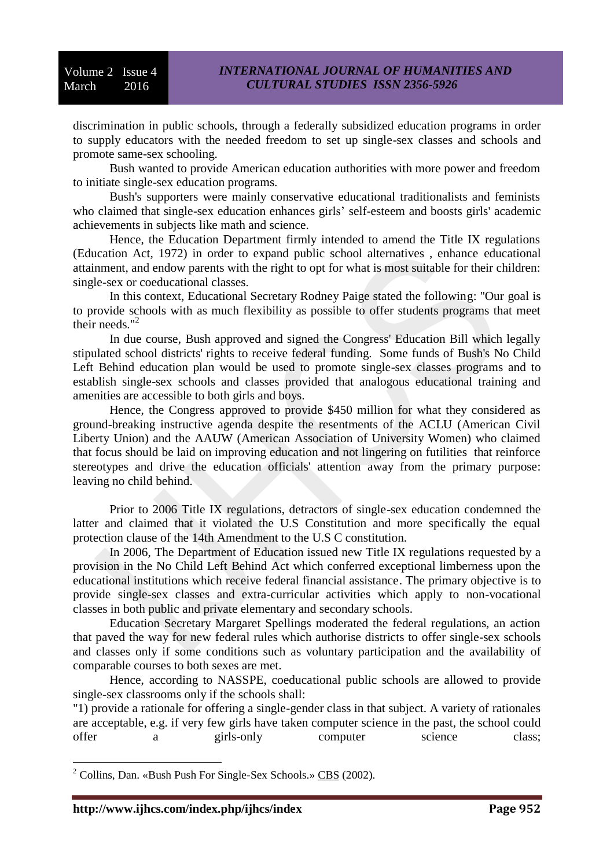discrimination in public schools, through a federally subsidized education programs in order to supply educators with the needed freedom to set up single-sex classes and schools and promote same-sex schooling.

Bush wanted to provide American education authorities with more power and freedom to initiate single-sex education programs.

Bush's supporters were mainly conservative educational traditionalists and feminists who claimed that single-sex education enhances girls' self-esteem and boosts girls' academic achievements in subjects like math and science.

Hence, the Education Department firmly intended to amend the Title IX regulations (Education Act, 1972) in order to expand public school alternatives , enhance educational attainment, and endow parents with the right to opt for what is most suitable for their children: single-sex or coeducational classes.

In this context, Educational Secretary Rodney Paige stated the following: "Our goal is to provide schools with as much flexibility as possible to offer students programs that meet their needs."<sup>2</sup>

In due course, Bush approved and signed the Congress' Education Bill which legally stipulated school districts' rights to receive federal funding. Some funds of Bush's No Child Left Behind education plan would be used to promote single-sex classes programs and to establish single-sex schools and classes provided that analogous educational training and amenities are accessible to both girls and boys.

Hence, the Congress approved to provide \$450 million for what they considered as ground-breaking instructive agenda despite the resentments of the ACLU (American Civil Liberty Union) and the AAUW (American Association of University Women) who claimed that focus should be laid on improving education and not lingering on futilities that reinforce stereotypes and drive the education officials' attention away from the primary purpose: leaving no child behind.

Prior to 2006 Title IX regulations, detractors of single-sex education condemned the latter and claimed that it violated the U.S Constitution and more specifically the equal protection clause of the 14th Amendment to the U.S C constitution.

In 2006, The Department of Education issued new Title IX regulations requested by a provision in the No Child Left Behind Act which conferred exceptional limberness upon the educational institutions which receive federal financial assistance. The primary objective is to provide single-sex classes and extra-curricular activities which apply to non-vocational classes in both public and private elementary and secondary schools.

Education Secretary Margaret Spellings moderated the federal regulations, an action that paved the way for new federal rules which authorise districts to offer single-sex schools and classes only if some conditions such as voluntary participation and the availability of comparable courses to both sexes are met.

Hence, according to NASSPE, coeducational public schools are allowed to provide single-sex classrooms only if the schools shall:

"1) provide a rationale for offering a single-gender class in that subject. A variety of rationales are acceptable, e.g. if very few girls have taken computer science in the past, the school could offer a girls-only computer science class;

 $\overline{a}$ 

 $2^2$  Collins, Dan. «Bush Push For Single-Sex Schools.» CBS (2002).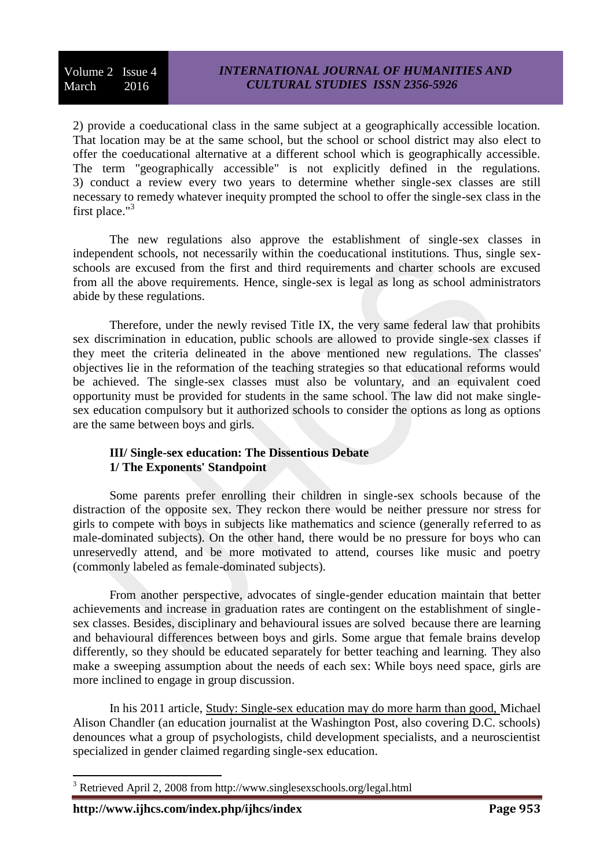2) provide a coeducational class in the same subject at a geographically accessible location. That location may be at the same school, but the school or school district may also elect to offer the coeducational alternative at a different school which is geographically accessible. The term "geographically accessible" is not explicitly defined in the regulations. 3) conduct a review every two years to determine whether single-sex classes are still necessary to remedy whatever inequity prompted the school to offer the single-sex class in the first place."<sup>3</sup>

The new regulations also approve the establishment of single-sex classes in independent schools, not necessarily within the coeducational institutions. Thus, single sexschools are excused from the first and third requirements and charter schools are excused from all the above requirements. Hence, single-sex is legal as long as school administrators abide by these regulations.

Therefore, under the newly revised Title IX, the very same federal law that prohibits sex discrimination in education, public schools are allowed to provide single-sex classes if they meet the criteria delineated in the above mentioned new regulations. The classes' objectives lie in the reformation of the teaching strategies so that educational reforms would be achieved. The single-sex classes must also be voluntary, and an equivalent coed opportunity must be provided for students in the same school. The law did not make singlesex education compulsory but it authorized schools to consider the options as long as options are the same between boys and girls.

# **III/ Single-sex education: The Dissentious Debate 1/ The Exponents' Standpoint**

Some parents prefer enrolling their children in single-sex schools because of the distraction of the opposite sex. They reckon there would be neither pressure nor stress for girls to compete with boys in subjects like mathematics and science (generally referred to as male-dominated subjects). On the other hand, there would be no pressure for boys who can unreservedly attend, and be more motivated to attend, courses like music and poetry (commonly labeled as female-dominated subjects).

From another perspective, advocates of single-gender education maintain that better achievements and increase in graduation rates are contingent on the establishment of singlesex classes. Besides, disciplinary and behavioural issues are solved because there are learning and behavioural differences between boys and girls. Some argue that female brains develop differently, so they should be educated separately for better teaching and learning. They also make a sweeping assumption about the needs of each sex: While boys need space, girls are more inclined to engage in group discussion.

In his 2011 article, Study: Single-sex education may do more harm than good, Michael Alison Chandler (an education journalist at the Washington Post, also covering D.C. schools) denounces what a group of psychologists, child development specialists, and a neuroscientist specialized in gender claimed regarding single-sex education.

<sup>3</sup> Retrieved April 2, 2008 from http://www.singlesexschools.org/legal.html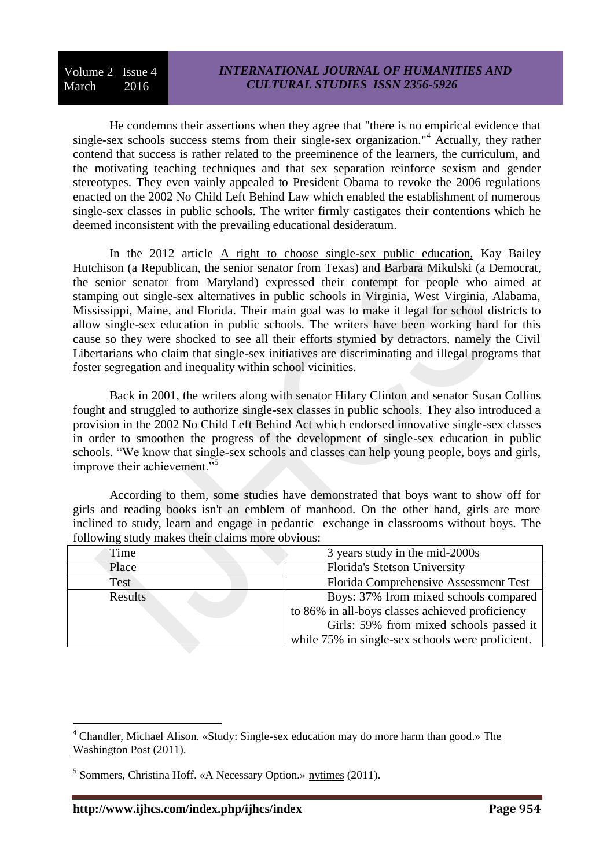He condemns their assertions when they agree that "there is no empirical evidence that single-sex schools success stems from their single-sex organization."<sup>4</sup> Actually, they rather contend that success is rather related to the preeminence of the learners, the curriculum, and the motivating teaching techniques and that sex separation reinforce sexism and gender stereotypes. They even vainly appealed to President Obama to revoke the 2006 regulations enacted on the 2002 No Child Left Behind Law which enabled the establishment of numerous single-sex classes in public schools. The writer firmly castigates their contentions which he deemed inconsistent with the prevailing educational desideratum.

In the 2012 article A right to choose single-sex public education, Kay Bailey Hutchison (a Republican, the senior senator from Texas) and Barbara Mikulski (a Democrat, the senior senator from Maryland) expressed their contempt for people who aimed at stamping out single-sex alternatives in public schools in Virginia, West Virginia, Alabama, Mississippi, Maine, and Florida. Their main goal was to make it legal for school districts to allow single-sex education in public schools. The writers have been working hard for this cause so they were shocked to see all their efforts stymied by detractors, namely the Civil Libertarians who claim that single-sex initiatives are discriminating and illegal programs that foster segregation and inequality within school vicinities.

Back in 2001, the writers along with senator Hilary Clinton and senator Susan Collins fought and struggled to authorize single-sex classes in public schools. They also introduced a provision in the 2002 No Child Left Behind Act which endorsed innovative single-sex classes in order to smoothen the progress of the development of single-sex education in public schools. "We know that single-sex schools and classes can help young people, boys and girls, improve their achievement."<sup>5</sup>

According to them, some studies have demonstrated that boys want to show off for girls and reading books isn't an emblem of manhood. On the other hand, girls are more inclined to study, learn and engage in pedantic exchange in classrooms without boys. The following study makes their claims more obvious:

| Time    | 3 years study in the mid-2000s                   |
|---------|--------------------------------------------------|
| Place   | Florida's Stetson University                     |
| Test    | Florida Comprehensive Assessment Test            |
| Results | Boys: 37% from mixed schools compared            |
|         | to 86% in all-boys classes achieved proficiency  |
|         | Girls: 59% from mixed schools passed it          |
|         | while 75% in single-sex schools were proficient. |

<sup>4</sup> Chandler, Michael Alison. «Study: Single-sex education may do more harm than good.» The Washington Post (2011).

<sup>&</sup>lt;sup>5</sup> Sommers, Christina Hoff. «A Necessary Option.» nytimes (2011).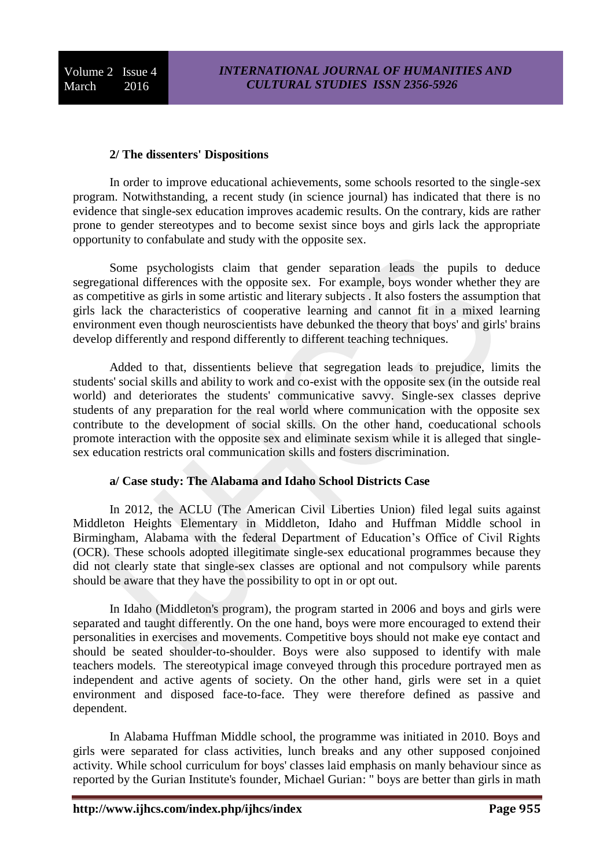#### **2/ The dissenters' Dispositions**

In order to improve educational achievements, some schools resorted to the single-sex program. Notwithstanding, a recent study (in science journal) has indicated that there is no evidence that single-sex education improves academic results. On the contrary, kids are rather prone to gender stereotypes and to become sexist since boys and girls lack the appropriate opportunity to confabulate and study with the opposite sex.

Some psychologists claim that gender separation leads the pupils to deduce segregational differences with the opposite sex. For example, boys wonder whether they are as competitive as girls in some artistic and literary subjects . It also fosters the assumption that girls lack the characteristics of cooperative learning and cannot fit in a mixed learning environment even though neuroscientists have debunked the theory that boys' and girls' brains develop differently and respond differently to different teaching techniques.

Added to that, dissentients believe that segregation leads to prejudice, limits the students' social skills and ability to work and co-exist with the opposite sex (in the outside real world) and deteriorates the students' communicative savvy. Single-sex classes deprive students of any preparation for the real world where communication with the opposite sex contribute to the development of social skills. On the other hand, coeducational schools promote interaction with the opposite sex and eliminate sexism while it is alleged that singlesex education restricts oral communication skills and fosters discrimination.

### **a/ Case study: The Alabama and Idaho School Districts Case**

In 2012, the ACLU (The American Civil Liberties Union) filed legal suits against Middleton Heights Elementary in Middleton, Idaho and Huffman Middle school in Birmingham, Alabama with the federal Department of Education's Office of Civil Rights (OCR). These schools adopted illegitimate single-sex educational programmes because they did not clearly state that single-sex classes are optional and not compulsory while parents should be aware that they have the possibility to opt in or opt out.

In Idaho (Middleton's program), the program started in 2006 and boys and girls were separated and taught differently. On the one hand, boys were more encouraged to extend their personalities in exercises and movements. Competitive boys should not make eye contact and should be seated shoulder-to-shoulder. Boys were also supposed to identify with male teachers models. The stereotypical image conveyed through this procedure portrayed men as independent and active agents of society. On the other hand, girls were set in a quiet environment and disposed face-to-face. They were therefore defined as passive and dependent.

In Alabama Huffman Middle school, the programme was initiated in 2010. Boys and girls were separated for class activities, lunch breaks and any other supposed conjoined activity. While school curriculum for boys' classes laid emphasis on manly behaviour since as reported by the Gurian Institute's founder, Michael Gurian: " boys are better than girls in math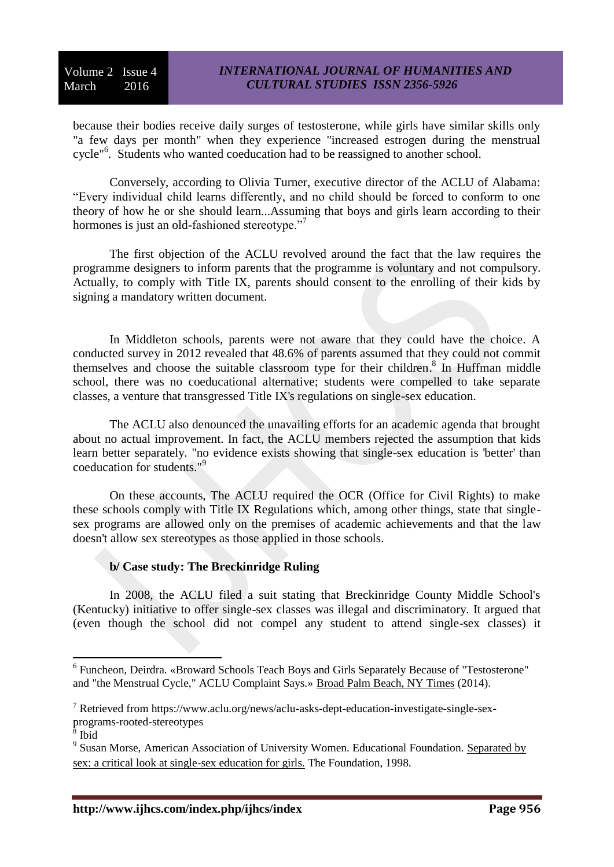because their bodies receive daily surges of testosterone, while girls have similar skills only "a few days per month" when they experience "increased estrogen during the menstrual cycle"<sup>6</sup>. Students who wanted coeducation had to be reassigned to another school.

Conversely, according to Olivia Turner, executive director of the ACLU of Alabama: "Every individual child learns differently, and no child should be forced to conform to one theory of how he or she should learn...Assuming that boys and girls learn according to their hormones is just an old-fashioned stereotype."<sup>7</sup>

The first objection of the ACLU revolved around the fact that the law requires the programme designers to inform parents that the programme is voluntary and not compulsory. Actually, to comply with Title IX, parents should consent to the enrolling of their kids by signing a mandatory written document.

In Middleton schools, parents were not aware that they could have the choice. A conducted survey in 2012 revealed that 48.6% of parents assumed that they could not commit themselves and choose the suitable classroom type for their children.<sup>8</sup> In Huffman middle school, there was no coeducational alternative; students were compelled to take separate classes, a venture that transgressed Title IX's regulations on single-sex education.

The ACLU also denounced the unavailing efforts for an academic agenda that brought about no actual improvement. In fact, the ACLU members rejected the assumption that kids learn better separately. "no evidence exists showing that single-sex education is 'better' than coeducation for students."<sup>9</sup>

On these accounts, The ACLU required the OCR (Office for Civil Rights) to make these schools comply with Title IX Regulations which, among other things, state that singlesex programs are allowed only on the premises of academic achievements and that the law doesn't allow sex stereotypes as those applied in those schools.

# **b/ Case study: The Breckinridge Ruling**

In 2008, the ACLU filed a suit stating that Breckinridge County Middle School's (Kentucky) initiative to offer single-sex classes was illegal and discriminatory. It argued that (even though the school did not compel any student to attend single-sex classes) it

<sup>1</sup> <sup>6</sup> Funcheon, Deirdra. «Broward Schools Teach Boys and Girls Separately Because of "Testosterone" and "the Menstrual Cycle," ACLU Complaint Says.» Broad Palm Beach, NY Times (2014).

<sup>7</sup> Retrieved from https://www.aclu.org/news/aclu-asks-dept-education-investigate-single-sexprograms-rooted-stereotypes

Ibid

<sup>&</sup>lt;sup>9</sup> Susan Morse, American Association of University Women. Educational Foundation. Separated by sex: a critical look at single-sex education for girls. The Foundation, 1998.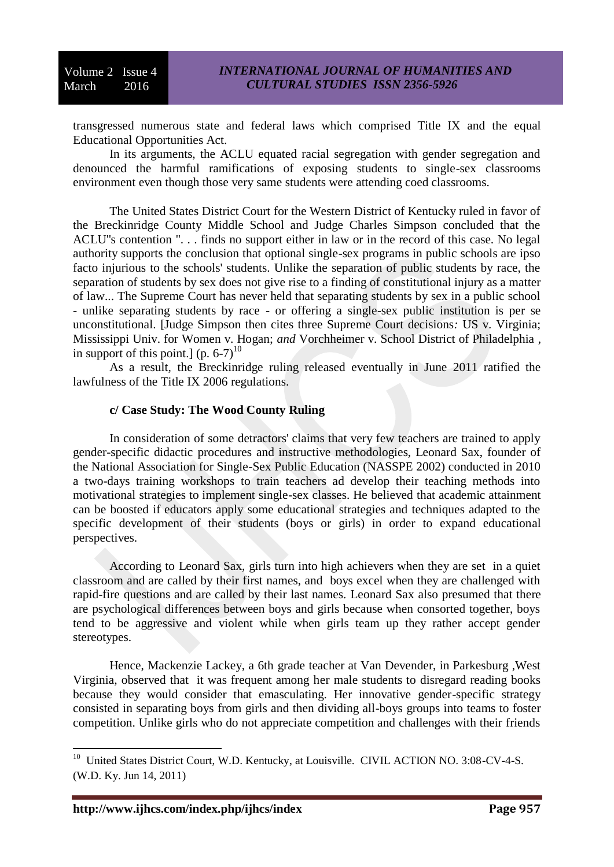transgressed numerous state and federal laws which comprised Title IX and the equal Educational Opportunities Act.

In its arguments, the ACLU equated racial segregation with gender segregation and denounced the harmful ramifications of exposing students to single-sex classrooms environment even though those very same students were attending coed classrooms.

The United States District Court for the Western District of Kentucky ruled in favor of the Breckinridge County Middle School and Judge Charles Simpson concluded that the ACLU''s contention ". . . finds no support either in law or in the record of this case. No legal authority supports the conclusion that optional single-sex programs in public schools are ipso facto injurious to the schools' students. Unlike the separation of public students by race, the separation of students by sex does not give rise to a finding of constitutional injury as a matter of law... The Supreme Court has never held that separating students by sex in a public school - unlike separating students by race - or offering a single-sex public institution is per se unconstitutional. [Judge Simpson then cites three Supreme Court decisions*:* US v. Virginia; Mississippi Univ. for Women v. Hogan; *and* Vorchheimer v. School District of Philadelphia *,*  in support of this point.] (p.  $6-7$ )<sup>10</sup>

As a result, the Breckinridge ruling released eventually in June 2011 ratified the lawfulness of the Title IX 2006 regulations.

## **c/ Case Study: The Wood County Ruling**

In consideration of some detractors' claims that very few teachers are trained to apply gender-specific didactic procedures and instructive methodologies, Leonard Sax, founder of the National Association for Single-Sex Public Education (NASSPE 2002) conducted in 2010 a two-days training workshops to train teachers ad develop their teaching methods into motivational strategies to implement single-sex classes. He believed that academic attainment can be boosted if educators apply some educational strategies and techniques adapted to the specific development of their students (boys or girls) in order to expand educational perspectives.

According to Leonard Sax, girls turn into high achievers when they are set in a quiet classroom and are called by their first names, and boys excel when they are challenged with rapid-fire questions and are called by their last names. Leonard Sax also presumed that there are psychological differences between boys and girls because when consorted together, boys tend to be aggressive and violent while when girls team up they rather accept gender stereotypes.

Hence, Mackenzie Lackey, a 6th grade teacher at Van Devender, in Parkesburg ,West Virginia, observed that it was frequent among her male students to disregard reading books because they would consider that emasculating. Her innovative gender-specific strategy consisted in separating boys from girls and then dividing all-boys groups into teams to foster competition. Unlike girls who do not appreciate competition and challenges with their friends

 $\overline{a}$ <sup>10</sup> United States District Court, W.D. Kentucky, at Louisville. CIVIL ACTION NO. 3:08-CV-4-S. (W.D. Ky. Jun 14, 2011)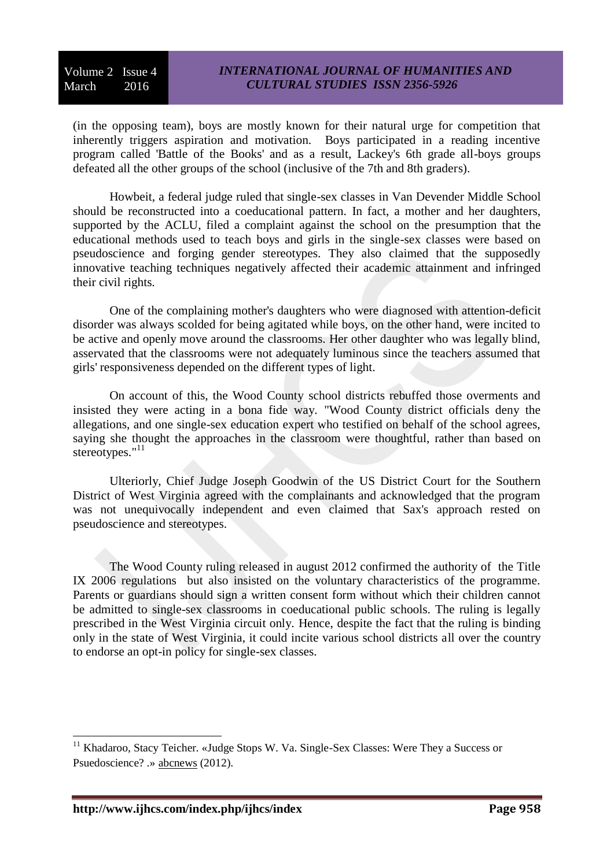(in the opposing team), boys are mostly known for their natural urge for competition that inherently triggers aspiration and motivation. Boys participated in a reading incentive program called 'Battle of the Books' and as a result, Lackey's 6th grade all-boys groups defeated all the other groups of the school (inclusive of the 7th and 8th graders).

Howbeit, a federal judge ruled that single-sex classes in Van Devender Middle School should be reconstructed into a coeducational pattern. In fact, a mother and her daughters, supported by the ACLU, filed a complaint against the school on the presumption that the educational methods used to teach boys and girls in the single-sex classes were based on pseudoscience and forging gender stereotypes. They also claimed that the supposedly innovative teaching techniques negatively affected their academic attainment and infringed their civil rights.

One of the complaining mother's daughters who were diagnosed with attention-deficit disorder was always scolded for being agitated while boys, on the other hand, were incited to be active and openly move around the classrooms. Her other daughter who was legally blind, asservated that the classrooms were not adequately luminous since the teachers assumed that girls' responsiveness depended on the different types of light.

On account of this, the Wood County school districts rebuffed those overments and insisted they were acting in a bona fide way. "Wood County district officials deny the allegations, and one single-sex education expert who testified on behalf of the school agrees, saying she thought the approaches in the classroom were thoughtful, rather than based on stereotypes."<sup>11</sup>

Ulteriorly, Chief Judge Joseph Goodwin of the [US District Court for the Southern](http://www.csmonitor.com/tags/topic/U.S.+District+Court+for+the+Southern+District+of+West+Virginia)  [District of West Virginia](http://www.csmonitor.com/tags/topic/U.S.+District+Court+for+the+Southern+District+of+West+Virginia) agreed with the complainants and acknowledged that the program was not unequivocally independent and even claimed that Sax's approach rested on pseudoscience and stereotypes.

The Wood County ruling released in august 2012 confirmed the authority of the Title IX 2006 regulations but also insisted on the voluntary characteristics of the programme. Parents or guardians should sign a written consent form without which their children cannot be admitted to single-sex classrooms in coeducational public schools. The ruling is legally prescribed in the West Virginia circuit only. Hence, despite the fact that the ruling is binding only in the state of West Virginia, it could incite various school districts all over the country to endorse an opt-in policy for single-sex classes.

<sup>&</sup>lt;sup>11</sup> Khadaroo, Stacy Teicher. «Judge Stops W. Va. Single-Sex Classes: Were They a Success or Psuedoscience? .» abcnews (2012).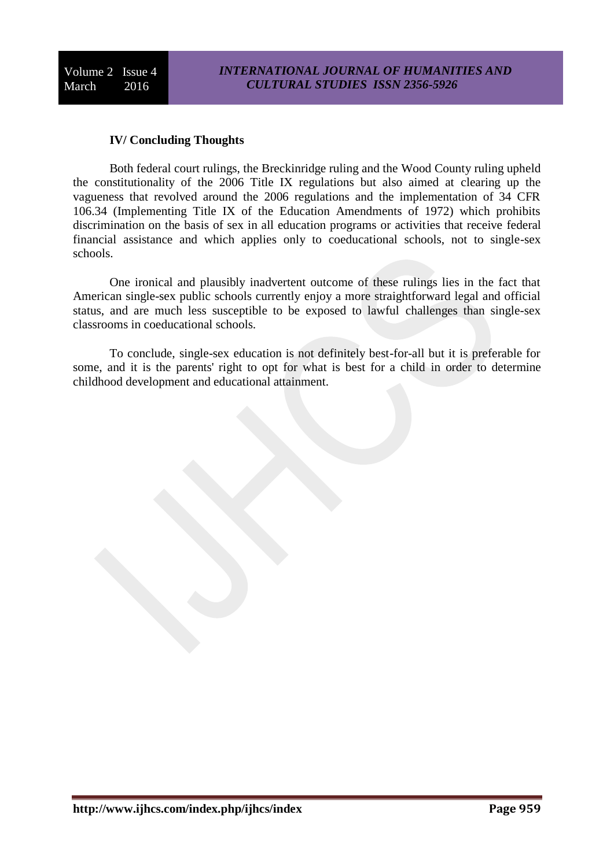## **IV/ Concluding Thoughts**

Both federal court rulings, the Breckinridge ruling and the Wood County ruling upheld the constitutionality of the 2006 Title IX regulations but also aimed at clearing up the vagueness that revolved around the 2006 regulations and the implementation of 34 CFR 106.34 (Implementing Title IX of the Education Amendments of 1972) which prohibits discrimination on the basis of sex in all education programs or activities that receive federal financial assistance and which applies only to coeducational schools, not to single-sex schools.

One ironical and plausibly inadvertent outcome of these rulings lies in the fact that American single-sex public schools currently enjoy a more straightforward legal and official status, and are much less susceptible to be exposed to lawful challenges than single-sex classrooms in coeducational schools.

To conclude, single-sex education is not definitely best-for-all but it is preferable for some, and it is the parents' right to opt for what is best for a child in order to determine childhood development and educational attainment.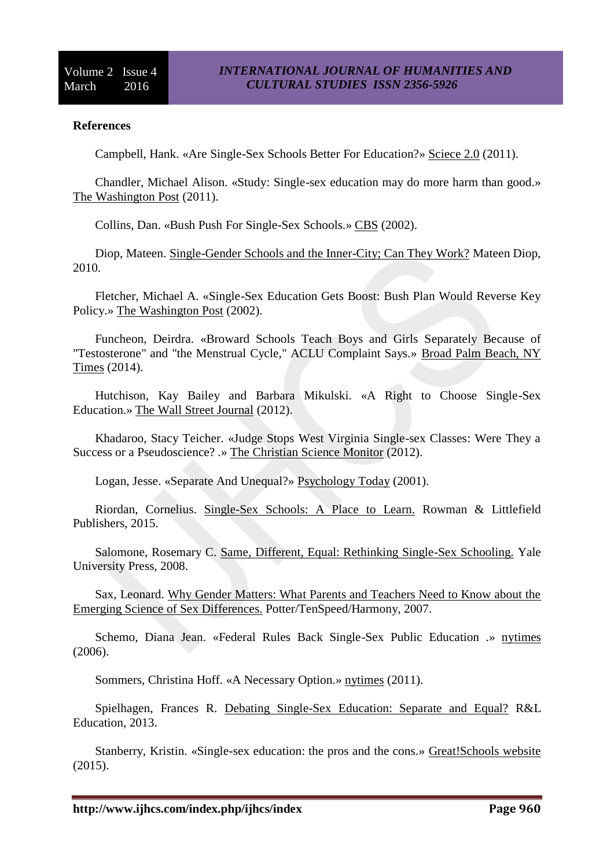### **References**

Campbell, Hank. «Are Single-Sex Schools Better For Education?» Sciece 2.0 (2011).

Chandler, Michael Alison. «Study: Single-sex education may do more harm than good.» The Washington Post (2011).

Collins, Dan. «Bush Push For Single-Sex Schools.» CBS (2002).

Diop, Mateen. Single-Gender Schools and the Inner-City; Can They Work? Mateen Diop, 2010.

Fletcher, Michael A. «Single-Sex Education Gets Boost: Bush Plan Would Reverse Key Policy.» The Washington Post (2002).

Funcheon, Deirdra. «Broward Schools Teach Boys and Girls Separately Because of "Testosterone" and "the Menstrual Cycle," ACLU Complaint Says.» Broad Palm Beach, NY Times (2014).

Hutchison, Kay Bailey and Barbara Mikulski. «A Right to Choose Single-Sex Education.» The Wall Street Journal (2012).

Khadaroo, Stacy Teicher. «Judge Stops West Virginia Single-sex Classes: Were They a Success or a Pseudoscience? .» The Christian Science Monitor (2012).

Logan, Jesse. «Separate And Unequal?» Psychology Today (2001).

Riordan, Cornelius. Single-Sex Schools: A Place to Learn. Rowman & Littlefield Publishers, 2015.

Salomone, Rosemary C. Same, Different, Equal: Rethinking Single-Sex Schooling. Yale University Press, 2008.

Sax, Leonard. Why Gender Matters: What Parents and Teachers Need to Know about the Emerging Science of Sex Differences. Potter/TenSpeed/Harmony, 2007.

Schemo, Diana Jean. «Federal Rules Back Single-Sex Public Education .» nytimes (2006).

Sommers, Christina Hoff. «A Necessary Option.» nytimes (2011).

Spielhagen, Frances R. Debating Single-Sex Education: Separate and Equal? R&L Education, 2013.

Stanberry, Kristin. «Single-sex education: the pros and the cons.» Great!Schools website (2015).